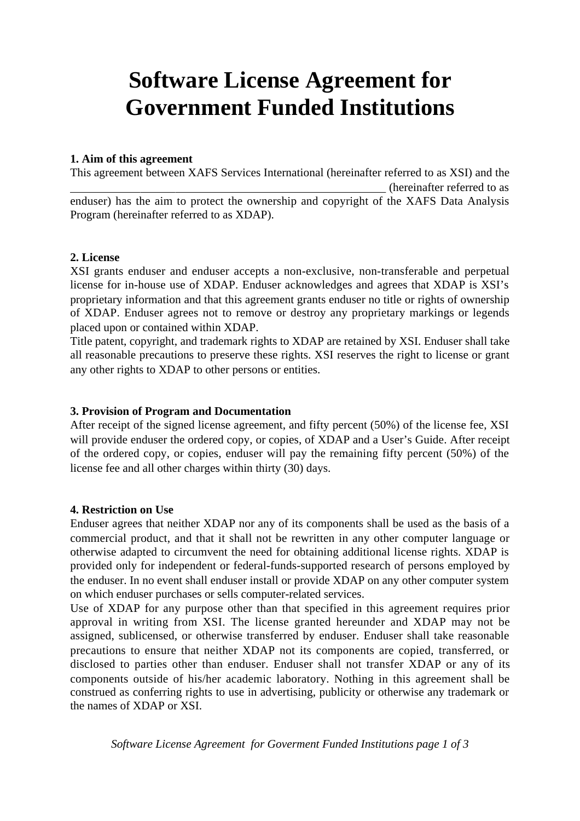# **Software License Agreement for Government Funded Institutions**

#### **1. Aim of this agreement**

This agreement between XAFS Services International (hereinafter referred to as XSI) and the (hereinafter referred to as enduser) has the aim to protect the ownership and copyright of the XAFS Data Analysis Program (hereinafter referred to as XDAP).

#### **2. License**

XSI grants enduser and enduser accepts a non-exclusive, non-transferable and perpetual license for in-house use of XDAP. Enduser acknowledges and agrees that XDAP is XSI's proprietary information and that this agreement grants enduser no title or rights of ownership of XDAP. Enduser agrees not to remove or destroy any proprietary markings or legends placed upon or contained within XDAP.

Title patent, copyright, and trademark rights to XDAP are retained by XSI. Enduser shall take all reasonable precautions to preserve these rights. XSI reserves the right to license or grant any other rights to XDAP to other persons or entities.

### **3. Provision of Program and Documentation**

After receipt of the signed license agreement, and fifty percent (50%) of the license fee, XSI will provide enduser the ordered copy, or copies, of XDAP and a User's Guide. After receipt of the ordered copy, or copies, enduser will pay the remaining fifty percent (50%) of the license fee and all other charges within thirty (30) days.

#### **4. Restriction on Use**

Enduser agrees that neither XDAP nor any of its components shall be used as the basis of a commercial product, and that it shall not be rewritten in any other computer language or otherwise adapted to circumvent the need for obtaining additional license rights. XDAP is provided only for independent or federal-funds-supported research of persons employed by the enduser. In no event shall enduser install or provide XDAP on any other computer system on which enduser purchases or sells computer-related services.

Use of XDAP for any purpose other than that specified in this agreement requires prior approval in writing from XSI. The license granted hereunder and XDAP may not be assigned, sublicensed, or otherwise transferred by enduser. Enduser shall take reasonable precautions to ensure that neither XDAP not its components are copied, transferred, or disclosed to parties other than enduser. Enduser shall not transfer XDAP or any of its components outside of his/her academic laboratory. Nothing in this agreement shall be construed as conferring rights to use in advertising, publicity or otherwise any trademark or the names of XDAP or XSI.

*Software License Agreement for Goverment Funded Institutions page 1 of 3*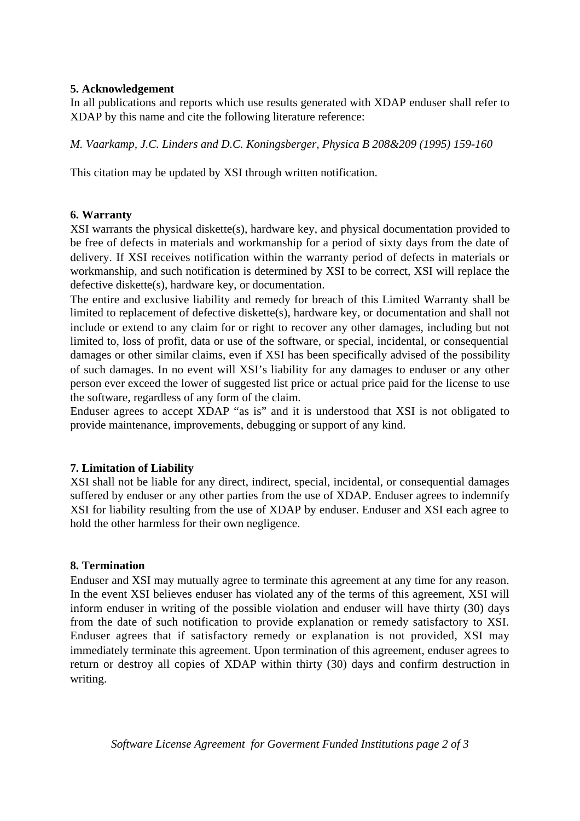# **5. Acknowledgement**

In all publications and reports which use results generated with XDAP enduser shall refer to XDAP by this name and cite the following literature reference:

*M. Vaarkamp, J.C. Linders and D.C. Koningsberger, Physica B 208&209 (1995) 159-160*

This citation may be updated by XSI through written notification.

# **6. Warranty**

XSI warrants the physical diskette(s), hardware key, and physical documentation provided to be free of defects in materials and workmanship for a period of sixty days from the date of delivery. If XSI receives notification within the warranty period of defects in materials or workmanship, and such notification is determined by XSI to be correct, XSI will replace the defective diskette(s), hardware key, or documentation.

The entire and exclusive liability and remedy for breach of this Limited Warranty shall be limited to replacement of defective diskette(s), hardware key, or documentation and shall not include or extend to any claim for or right to recover any other damages, including but not limited to, loss of profit, data or use of the software, or special, incidental, or consequential damages or other similar claims, even if XSI has been specifically advised of the possibility of such damages. In no event will XSI's liability for any damages to enduser or any other person ever exceed the lower of suggested list price or actual price paid for the license to use the software, regardless of any form of the claim.

Enduser agrees to accept XDAP "as is" and it is understood that XSI is not obligated to provide maintenance, improvements, debugging or support of any kind.

# **7. Limitation of Liability**

XSI shall not be liable for any direct, indirect, special, incidental, or consequential damages suffered by enduser or any other parties from the use of XDAP. Enduser agrees to indemnify XSI for liability resulting from the use of XDAP by enduser. Enduser and XSI each agree to hold the other harmless for their own negligence.

## **8. Termination**

Enduser and XSI may mutually agree to terminate this agreement at any time for any reason. In the event XSI believes enduser has violated any of the terms of this agreement, XSI will inform enduser in writing of the possible violation and enduser will have thirty (30) days from the date of such notification to provide explanation or remedy satisfactory to XSI. Enduser agrees that if satisfactory remedy or explanation is not provided, XSI may immediately terminate this agreement. Upon termination of this agreement, enduser agrees to return or destroy all copies of XDAP within thirty (30) days and confirm destruction in writing.